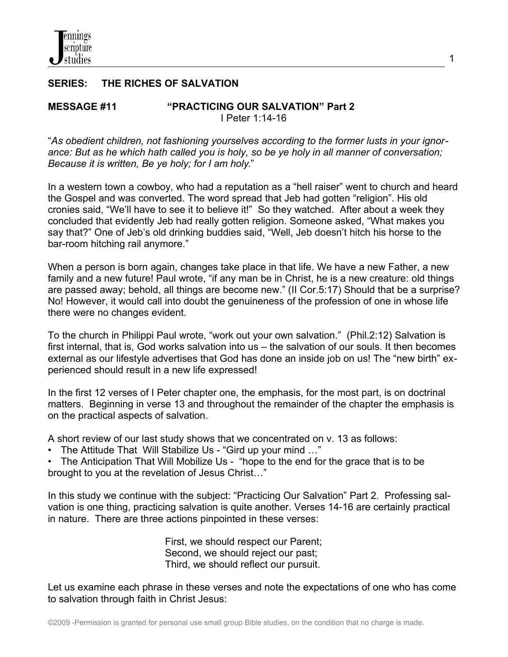## **SERIES: THE RICHES OF SALVATION**

#### **MESSAGE #11 "PRACTICING OUR SALVATION" Part 2** I Peter 1:14-16

"*As obedient children, not fashioning yourselves according to the former lusts in your ignorance: But as he which hath called you is holy, so be ye holy in all manner of conversation; Because it is written, Be ye holy; for I am holy*."

1

In a western town a cowboy, who had a reputation as a "hell raiser" went to church and heard the Gospel and was converted. The word spread that Jeb had gotten "religion". His old cronies said, "We'll have to see it to believe it!" So they watched. After about a week they concluded that evidently Jeb had really gotten religion. Someone asked, "What makes you say that?" One of Jeb's old drinking buddies said, "Well, Jeb doesn't hitch his horse to the bar-room hitching rail anymore."

When a person is born again, changes take place in that life. We have a new Father, a new family and a new future! Paul wrote, "if any man be in Christ, he is a new creature: old things are passed away; behold, all things are become new." (II Cor.5:17) Should that be a surprise? No! However, it would call into doubt the genuineness of the profession of one in whose life there were no changes evident.

To the church in Philippi Paul wrote, "work out your own salvation." (Phil.2:12) Salvation is first internal, that is, God works salvation into us – the salvation of our souls. It then becomes external as our lifestyle advertises that God has done an inside job on us! The "new birth" experienced should result in a new life expressed!

In the first 12 verses of I Peter chapter one, the emphasis, for the most part, is on doctrinal matters. Beginning in verse 13 and throughout the remainder of the chapter the emphasis is on the practical aspects of salvation.

A short review of our last study shows that we concentrated on v. 13 as follows:

• The Attitude That Will Stabilize Us - "Gird up your mind …"

• The Anticipation That Will Mobilize Us - "hope to the end for the grace that is to be brought to you at the revelation of Jesus Christ…"

In this study we continue with the subject: "Practicing Our Salvation" Part 2. Professing salvation is one thing, practicing salvation is quite another. Verses 14-16 are certainly practical in nature. There are three actions pinpointed in these verses:

> First, we should respect our Parent; Second, we should reject our past; Third, we should reflect our pursuit.

Let us examine each phrase in these verses and note the expectations of one who has come to salvation through faith in Christ Jesus: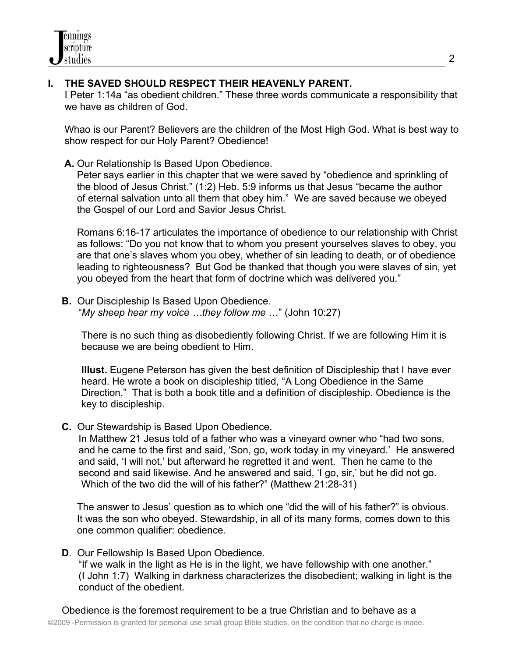# **I. THE SAVED SHOULD RESPECT THEIR HEAVENLY PARENT.**

 I Peter 1:14a "as obedient children." These three words communicate a responsibility that we have as children of God.

 Whao is our Parent? Believers are the children of the Most High God. What is best way to show respect for our Holy Parent? Obedience!

**A.** Our Relationship Is Based Upon Obedience.

Peter says earlier in this chapter that we were saved by "obedience and sprinkling of the blood of Jesus Christ." (1:2) Heb. 5:9 informs us that Jesus "became the author of eternal salvation unto all them that obey him." We are saved because we obeyed the Gospel of our Lord and Savior Jesus Christ.

Romans 6:16-17 articulates the importance of obedience to our relationship with Christ as follows: "Do you not know that to whom you present yourselves slaves to obey, you are that one's slaves whom you obey, whether of sin leading to death, or of obedience leading to righteousness? But God be thanked that though you were slaves of sin, yet you obeyed from the heart that form of doctrine which was delivered you."

 **B.** Our Discipleship Is Based Upon Obedience. "*My sheep hear my voice …they follow me* …" (John 10:27)

 There is no such thing as disobediently following Christ. If we are following Him it is because we are being obedient to Him.

 **Illust.** Eugene Peterson has given the best definition of Discipleship that I have ever heard. He wrote a book on discipleship titled, "A Long Obedience in the Same Direction." That is both a book title and a definition of discipleship. Obedience is the key to discipleship.

**C.** Our Stewardship is Based Upon Obedience.

 In Matthew 21 Jesus told of a father who was a vineyard owner who "had two sons, and he came to the first and said, 'Son, go, work today in my vineyard.' He answered and said, 'I will not,' but afterward he regretted it and went. Then he came to the second and said likewise. And he answered and said, 'I go, sir,' but he did not go. Which of the two did the will of his father?" (Matthew 21:28-31)

The answer to Jesus' question as to which one "did the will of his father?" is obvious. It was the son who obeyed. Stewardship, in all of its many forms, comes down to this one common qualifier: obedience.

**D**. Our Fellowship Is Based Upon Obedience.

 "If we walk in the light as He is in the light, we have fellowship with one another." (I John 1:7) Walking in darkness characterizes the disobedient; walking in light is the conduct of the obedient.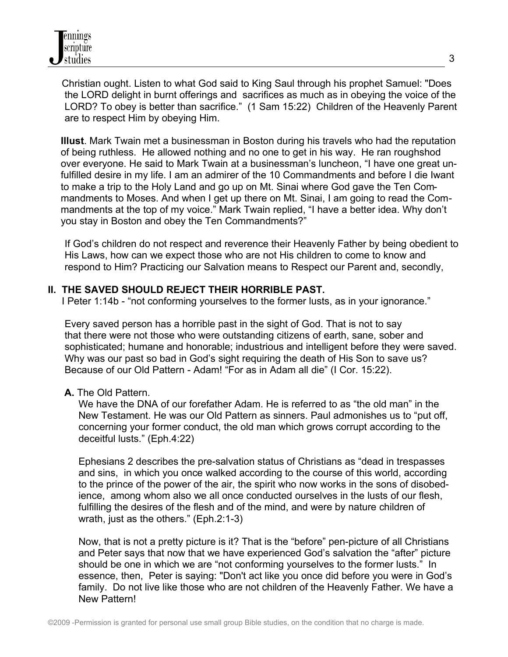Christian ought. Listen to what God said to King Saul through his prophet Samuel: "Does the LORD delight in burnt offerings and sacrifices as much as in obeying the voice of the LORD? To obey is better than sacrifice." (1 Sam 15:22) Children of the Heavenly Parent are to respect Him by obeying Him.

**Illust**. Mark Twain met a businessman in Boston during his travels who had the reputation of being ruthless. He allowed nothing and no one to get in his way. He ran roughshod over everyone. He said to Mark Twain at a businessman's luncheon, "I have one great unfulfilled desire in my life. I am an admirer of the 10 Commandments and before I die Iwant to make a trip to the Holy Land and go up on Mt. Sinai where God gave the Ten Commandments to Moses. And when I get up there on Mt. Sinai, I am going to read the Commandments at the top of my voice." Mark Twain replied, "I have a better idea. Why don't you stay in Boston and obey the Ten Commandments?"

 If God's children do not respect and reverence their Heavenly Father by being obedient to His Laws, how can we expect those who are not His children to come to know and respond to Him? Practicing our Salvation means to Respect our Parent and, secondly,

## **II. THE SAVED SHOULD REJECT THEIR HORRIBLE PAST.**

I Peter 1:14b - "not conforming yourselves to the former lusts, as in your ignorance."

 Every saved person has a horrible past in the sight of God. That is not to say that there were not those who were outstanding citizens of earth, sane, sober and sophisticated; humane and honorable; industrious and intelligent before they were saved. Why was our past so bad in God's sight requiring the death of His Son to save us? Because of our Old Pattern - Adam! "For as in Adam all die" (I Cor. 15:22).

### **A.** The Old Pattern.

 We have the DNA of our forefather Adam. He is referred to as "the old man" in the New Testament. He was our Old Pattern as sinners. Paul admonishes us to "put off, concerning your former conduct, the old man which grows corrupt according to the deceitful lusts." (Eph.4:22)

 Ephesians 2 describes the pre-salvation status of Christians as "dead in trespasses and sins, in which you once walked according to the course of this world, according to the prince of the power of the air, the spirit who now works in the sons of disobed ience, among whom also we all once conducted ourselves in the lusts of our flesh, fulfilling the desires of the flesh and of the mind, and were by nature children of wrath, just as the others." (Eph.2:1-3)

 Now, that is not a pretty picture is it? That is the "before" pen-picture of all Christians and Peter says that now that we have experienced God's salvation the "after" picture should be one in which we are "not conforming yourselves to the former lusts." In essence, then, Peter is saying: "Don't act like you once did before you were in God's family. Do not live like those who are not children of the Heavenly Father. We have a New Pattern!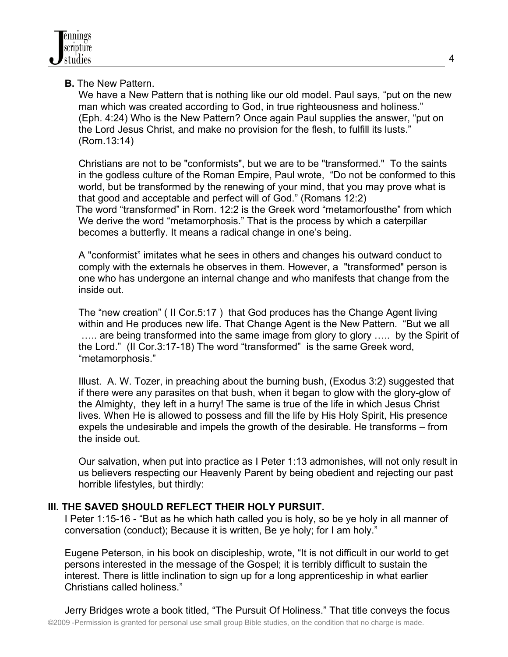# **B.** The New Pattern.

 We have a New Pattern that is nothing like our old model. Paul says, "put on the new man which was created according to God, in true righteousness and holiness." (Eph. 4:24) Who is the New Pattern? Once again Paul supplies the answer, "put on the Lord Jesus Christ, and make no provision for the flesh, to fulfill its lusts." (Rom.13:14)

 Christians are not to be "conformists", but we are to be "transformed." To the saints in the godless culture of the Roman Empire, Paul wrote, "Do not be conformed to this world, but be transformed by the renewing of your mind, that you may prove what is that good and acceptable and perfect will of God." (Romans 12:2) The word "transformed" in Rom. 12:2 is the Greek word "metamorfousthe" from which We derive the word "metamorphosis." That is the process by which a caterpillar becomes a butterfly. It means a radical change in one's being.

 A "conformist" imitates what he sees in others and changes his outward conduct to comply with the externals he observes in them. However, a "transformed" person is one who has undergone an internal change and who manifests that change from the inside out.

 The "new creation" ( II Cor.5:17 ) that God produces has the Change Agent living within and He produces new life. That Change Agent is the New Pattern. "But we all ….. are being transformed into the same image from glory to glory ….. by the Spirit of the Lord." (II Cor.3:17-18) The word "transformed" is the same Greek word, "metamorphosis."

 Illust. A. W. Tozer, in preaching about the burning bush, (Exodus 3:2) suggested that if there were any parasites on that bush, when it began to glow with the glory-glow of the Almighty, they left in a hurry! The same is true of the life in which Jesus Christ lives. When He is allowed to possess and fill the life by His Holy Spirit, His presence expels the undesirable and impels the growth of the desirable. He transforms – from the inside out.

 Our salvation, when put into practice as I Peter 1:13 admonishes, will not only result in us believers respecting our Heavenly Parent by being obedient and rejecting our past horrible lifestyles, but thirdly:

## **III. THE SAVED SHOULD REFLECT THEIR HOLY PURSUIT.**

 I Peter 1:15-16 - "But as he which hath called you is holy, so be ye holy in all manner of conversation (conduct); Because it is written, Be ye holy; for I am holy."

 Eugene Peterson, in his book on discipleship, wrote, "It is not difficult in our world to get persons interested in the message of the Gospel; it is terribly difficult to sustain the interest. There is little inclination to sign up for a long apprenticeship in what earlier Christians called holiness."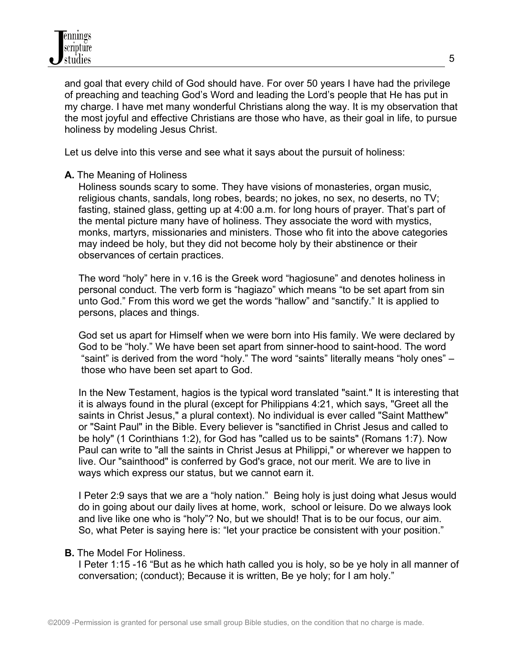and goal that every child of God should have. For over 50 years I have had the privilege of preaching and teaching God's Word and leading the Lord's people that He has put in my charge. I have met many wonderful Christians along the way. It is my observation that the most joyful and effective Christians are those who have, as their goal in life, to pursue holiness by modeling Jesus Christ.

Let us delve into this verse and see what it says about the pursuit of holiness:

### **A.** The Meaning of Holiness

 Holiness sounds scary to some. They have visions of monasteries, organ music, religious chants, sandals, long robes, beards; no jokes, no sex, no deserts, no TV; fasting, stained glass, getting up at 4:00 a.m. for long hours of prayer. That's part of the mental picture many have of holiness. They associate the word with mystics, monks, martyrs, missionaries and ministers. Those who fit into the above categories may indeed be holy, but they did not become holy by their abstinence or their observances of certain practices.

 The word "holy" here in v.16 is the Greek word "hagiosune" and denotes holiness in personal conduct. The verb form is "hagiazo" which means "to be set apart from sin unto God." From this word we get the words "hallow" and "sanctify." It is applied to persons, places and things.

 God set us apart for Himself when we were born into His family. We were declared by God to be "holy." We have been set apart from sinner-hood to saint-hood. The word "saint" is derived from the word "holy." The word "saints" literally means "holy ones" – those who have been set apart to God.

 In the New Testament, hagios is the typical word translated "saint." It is interesting that it is always found in the plural (except for Philippians 4:21, which says, "Greet all the saints in Christ Jesus," a plural context). No individual is ever called "Saint Matthew" or "Saint Paul" in the Bible. Every believer is "sanctified in Christ Jesus and called to be holy" (1 Corinthians 1:2), for God has "called us to be saints" (Romans 1:7). Now Paul can write to "all the saints in Christ Jesus at Philippi," or wherever we happen to live. Our "sainthood" is conferred by God's grace, not our merit. We are to live in ways which express our status, but we cannot earn it.

 I Peter 2:9 says that we are a "holy nation." Being holy is just doing what Jesus would do in going about our daily lives at home, work, school or leisure. Do we always look and live like one who is "holy"? No, but we should! That is to be our focus, our aim. So, what Peter is saying here is: "let your practice be consistent with your position."

#### **B.** The Model For Holiness.

 I Peter 1:15 -16 "But as he which hath called you is holy, so be ye holy in all manner of conversation; (conduct); Because it is written, Be ye holy; for I am holy."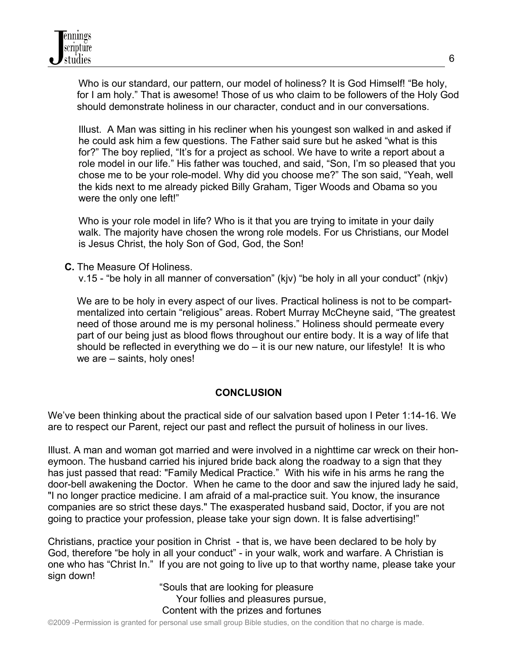Who is our standard, our pattern, our model of holiness? It is God Himself! "Be holy, for I am holy." That is awesome! Those of us who claim to be followers of the Holy God should demonstrate holiness in our character, conduct and in our conversations.

 Illust. A Man was sitting in his recliner when his youngest son walked in and asked if he could ask him a few questions. The Father said sure but he asked "what is this for?" The boy replied, "It's for a project as school. We have to write a report about a role model in our life." His father was touched, and said, "Son, I'm so pleased that you chose me to be your role-model. Why did you choose me?" The son said, "Yeah, well the kids next to me already picked Billy Graham, Tiger Woods and Obama so you were the only one left!"

 Who is your role model in life? Who is it that you are trying to imitate in your daily walk. The majority have chosen the wrong role models. For us Christians, our Model is Jesus Christ, the holy Son of God, God, the Son!

 **C.** The Measure Of Holiness.

v.15 - "be holy in all manner of conversation" (kjv) "be holy in all your conduct" (nkjv)

We are to be holy in every aspect of our lives. Practical holiness is not to be compartmentalized into certain "religious" areas. Robert Murray McCheyne said, "The greatest need of those around me is my personal holiness." Holiness should permeate every part of our being just as blood flows throughout our entire body. It is a way of life that should be reflected in everything we do  $-$  it is our new nature, our lifestyle! It is who we are – saints, holy ones!

## **CONCLUSION**

We've been thinking about the practical side of our salvation based upon I Peter 1:14-16. We are to respect our Parent, reject our past and reflect the pursuit of holiness in our lives.

Illust. A man and woman got married and were involved in a nighttime car wreck on their honeymoon. The husband carried his injured bride back along the roadway to a sign that they has just passed that read: "Family Medical Practice." With his wife in his arms he rang the door-bell awakening the Doctor. When he came to the door and saw the injured lady he said, "I no longer practice medicine. I am afraid of a mal-practice suit. You know, the insurance companies are so strict these days." The exasperated husband said, Doctor, if you are not going to practice your profession, please take your sign down. It is false advertising!"

Christians, practice your position in Christ - that is, we have been declared to be holy by God, therefore "be holy in all your conduct" - in your walk, work and warfare. A Christian is one who has "Christ In." If you are not going to live up to that worthy name, please take your sign down!

 "Souls that are looking for pleasure Your follies and pleasures pursue, Content with the prizes and fortunes